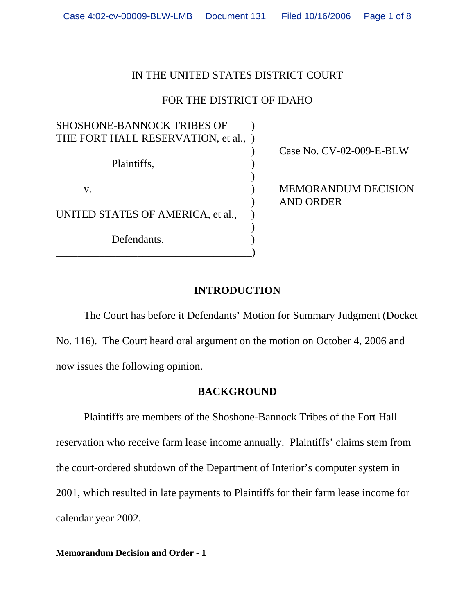# IN THE UNITED STATES DISTRICT COURT

# FOR THE DISTRICT OF IDAHO

| <b>SHOSHONE-BANNOCK TRIBES OF</b>  |  |
|------------------------------------|--|
| THE FORT HALL RESERVATION, et al., |  |
|                                    |  |
| Plaintiffs,                        |  |
|                                    |  |
| V.                                 |  |
|                                    |  |
| UNITED STATES OF AMERICA, et al.,  |  |
|                                    |  |
| Defendants.                        |  |
|                                    |  |

) Case No. CV-02-009-E-BLW

# MEMORANDUM DECISION ) AND ORDER

## **INTRODUCTION**

The Court has before it Defendants' Motion for Summary Judgment (Docket No. 116). The Court heard oral argument on the motion on October 4, 2006 and now issues the following opinion.

### **BACKGROUND**

Plaintiffs are members of the Shoshone-Bannock Tribes of the Fort Hall reservation who receive farm lease income annually. Plaintiffs' claims stem from the court-ordered shutdown of the Department of Interior's computer system in 2001, which resulted in late payments to Plaintiffs for their farm lease income for calendar year 2002.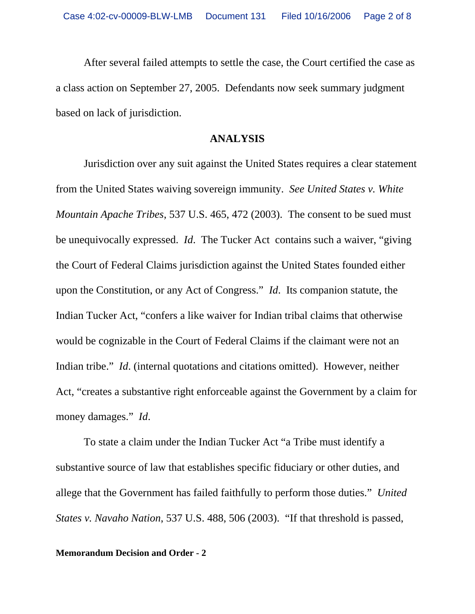After several failed attempts to settle the case, the Court certified the case as a class action on September 27, 2005. Defendants now seek summary judgment based on lack of jurisdiction.

### **ANALYSIS**

Jurisdiction over any suit against the United States requires a clear statement from the United States waiving sovereign immunity. *See United States v. White Mountain Apache Tribes*, 537 U.S. 465, 472 (2003). The consent to be sued must be unequivocally expressed. *Id*. The Tucker Act contains such a waiver, "giving the Court of Federal Claims jurisdiction against the United States founded either upon the Constitution, or any Act of Congress." *Id*. Its companion statute, the Indian Tucker Act, "confers a like waiver for Indian tribal claims that otherwise would be cognizable in the Court of Federal Claims if the claimant were not an Indian tribe." *Id*. (internal quotations and citations omitted). However, neither Act, "creates a substantive right enforceable against the Government by a claim for money damages." *Id*.

To state a claim under the Indian Tucker Act "a Tribe must identify a substantive source of law that establishes specific fiduciary or other duties, and allege that the Government has failed faithfully to perform those duties." *United States v. Navaho Nation*, 537 U.S. 488, 506 (2003). "If that threshold is passed,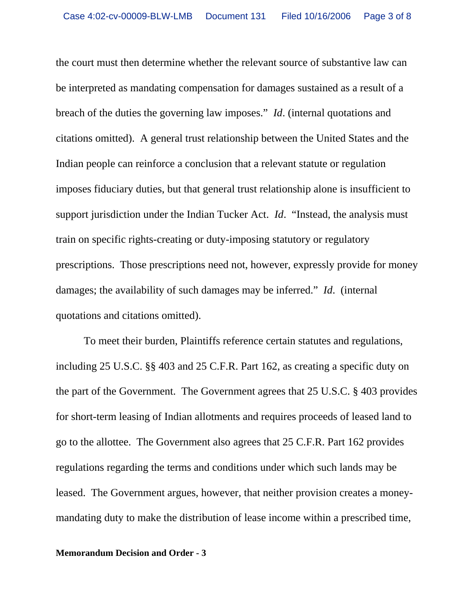the court must then determine whether the relevant source of substantive law can be interpreted as mandating compensation for damages sustained as a result of a breach of the duties the governing law imposes." *Id*. (internal quotations and citations omitted). A general trust relationship between the United States and the Indian people can reinforce a conclusion that a relevant statute or regulation imposes fiduciary duties, but that general trust relationship alone is insufficient to support jurisdiction under the Indian Tucker Act. *Id*. "Instead, the analysis must train on specific rights-creating or duty-imposing statutory or regulatory prescriptions. Those prescriptions need not, however, expressly provide for money damages; the availability of such damages may be inferred." *Id*. (internal quotations and citations omitted).

To meet their burden, Plaintiffs reference certain statutes and regulations, including 25 U.S.C. §§ 403 and 25 C.F.R. Part 162, as creating a specific duty on the part of the Government. The Government agrees that 25 U.S.C. § 403 provides for short-term leasing of Indian allotments and requires proceeds of leased land to go to the allottee. The Government also agrees that 25 C.F.R. Part 162 provides regulations regarding the terms and conditions under which such lands may be leased. The Government argues, however, that neither provision creates a moneymandating duty to make the distribution of lease income within a prescribed time,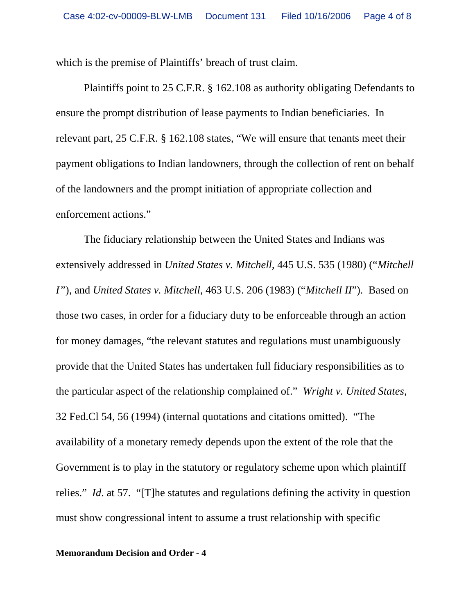which is the premise of Plaintiffs' breach of trust claim.

Plaintiffs point to 25 C.F.R. § 162.108 as authority obligating Defendants to ensure the prompt distribution of lease payments to Indian beneficiaries. In relevant part, 25 C.F.R. § 162.108 states, "We will ensure that tenants meet their payment obligations to Indian landowners, through the collection of rent on behalf of the landowners and the prompt initiation of appropriate collection and enforcement actions."

The fiduciary relationship between the United States and Indians was extensively addressed in *United States v. Mitchell*, 445 U.S. 535 (1980) ("*Mitchell I"*), and *United States v. Mitchell*, 463 U.S. 206 (1983) ("*Mitchell II"*). Based on those two cases, in order for a fiduciary duty to be enforceable through an action for money damages, "the relevant statutes and regulations must unambiguously provide that the United States has undertaken full fiduciary responsibilities as to the particular aspect of the relationship complained of." *Wright v. United States*, 32 Fed.Cl 54, 56 (1994) (internal quotations and citations omitted). "The availability of a monetary remedy depends upon the extent of the role that the Government is to play in the statutory or regulatory scheme upon which plaintiff relies." *Id*. at 57. "[T]he statutes and regulations defining the activity in question must show congressional intent to assume a trust relationship with specific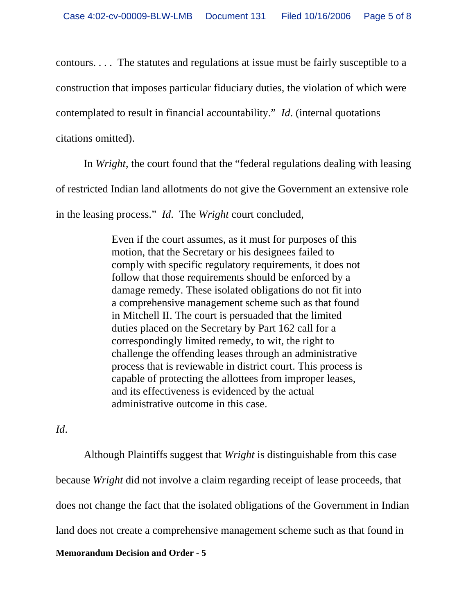contours. . . . The statutes and regulations at issue must be fairly susceptible to a construction that imposes particular fiduciary duties, the violation of which were contemplated to result in financial accountability." *Id*. (internal quotations citations omitted).

In *Wright*, the court found that the "federal regulations dealing with leasing of restricted Indian land allotments do not give the Government an extensive role in the leasing process." *Id*. The *Wright* court concluded,

> Even if the court assumes, as it must for purposes of this motion, that the Secretary or his designees failed to comply with specific regulatory requirements, it does not follow that those requirements should be enforced by a damage remedy. These isolated obligations do not fit into a comprehensive management scheme such as that found in Mitchell II. The court is persuaded that the limited duties placed on the Secretary by Part 162 call for a correspondingly limited remedy, to wit, the right to challenge the offending leases through an administrative process that is reviewable in district court. This process is capable of protecting the allottees from improper leases, and its effectiveness is evidenced by the actual administrative outcome in this case.

*Id*.

**Memorandum Decision and Order - 5** Although Plaintiffs suggest that *Wright* is distinguishable from this case because *Wright* did not involve a claim regarding receipt of lease proceeds, that does not change the fact that the isolated obligations of the Government in Indian land does not create a comprehensive management scheme such as that found in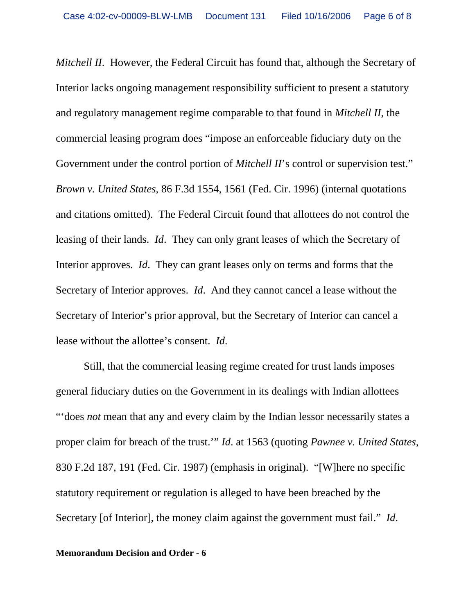*Mitchell II.* However, the Federal Circuit has found that, although the Secretary of Interior lacks ongoing management responsibility sufficient to present a statutory and regulatory management regime comparable to that found in *Mitchell II*, the commercial leasing program does "impose an enforceable fiduciary duty on the Government under the control portion of *Mitchell II*'s control or supervision test." *Brown v. United States*, 86 F.3d 1554, 1561 (Fed. Cir. 1996) (internal quotations and citations omitted). The Federal Circuit found that allottees do not control the leasing of their lands. *Id*. They can only grant leases of which the Secretary of Interior approves. *Id*. They can grant leases only on terms and forms that the Secretary of Interior approves. *Id*. And they cannot cancel a lease without the Secretary of Interior's prior approval, but the Secretary of Interior can cancel a lease without the allottee's consent. *Id*.

Still, that the commercial leasing regime created for trust lands imposes general fiduciary duties on the Government in its dealings with Indian allottees "'does *not* mean that any and every claim by the Indian lessor necessarily states a proper claim for breach of the trust.'" *Id*. at 1563 (quoting *Pawnee v. United States*, 830 F.2d 187, 191 (Fed. Cir. 1987) (emphasis in original). "[W]here no specific statutory requirement or regulation is alleged to have been breached by the Secretary [of Interior], the money claim against the government must fail." *Id*.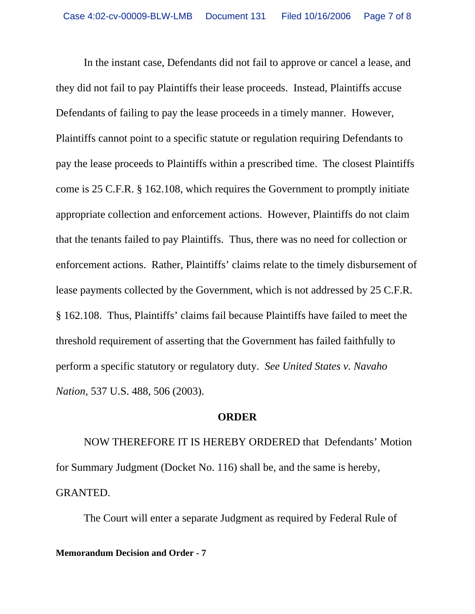In the instant case, Defendants did not fail to approve or cancel a lease, and they did not fail to pay Plaintiffs their lease proceeds. Instead, Plaintiffs accuse Defendants of failing to pay the lease proceeds in a timely manner. However, Plaintiffs cannot point to a specific statute or regulation requiring Defendants to pay the lease proceeds to Plaintiffs within a prescribed time. The closest Plaintiffs come is 25 C.F.R. § 162.108, which requires the Government to promptly initiate appropriate collection and enforcement actions. However, Plaintiffs do not claim that the tenants failed to pay Plaintiffs. Thus, there was no need for collection or enforcement actions. Rather, Plaintiffs' claims relate to the timely disbursement of lease payments collected by the Government, which is not addressed by 25 C.F.R. § 162.108. Thus, Plaintiffs' claims fail because Plaintiffs have failed to meet the threshold requirement of asserting that the Government has failed faithfully to perform a specific statutory or regulatory duty. *See United States v. Navaho Nation*, 537 U.S. 488, 506 (2003).

#### **ORDER**

NOW THEREFORE IT IS HEREBY ORDERED that Defendants' Motion for Summary Judgment (Docket No. 116) shall be, and the same is hereby, GRANTED.

The Court will enter a separate Judgment as required by Federal Rule of